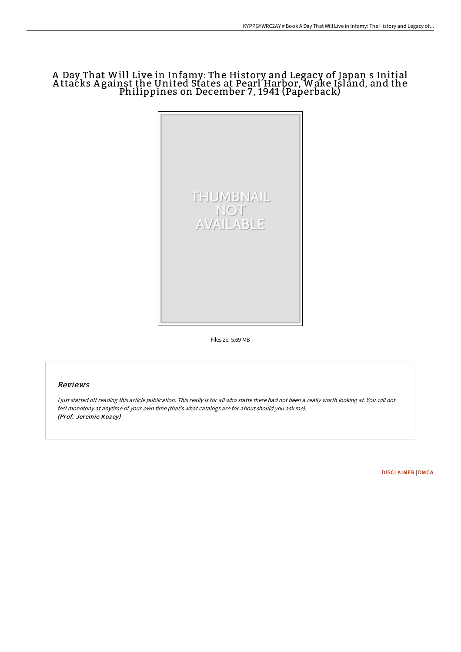# A Day That Will Live in Infamy: The History and Legacy of Japan s Initial A ttacks A gainst the United States at Pearl Harbor, Wake Island, and the Philippines on December 7, 1941 (Paperback)



Filesize: 5.69 MB

### Reviews

<sup>I</sup> just started off reading this article publication. This really is for all who statte there had not been <sup>a</sup> really worth looking at. You will not feel monotony at anytime of your own time (that's what catalogs are for about should you ask me). (Prof. Jeremie Kozey)

[DISCLAIMER](http://techno-pub.tech/disclaimer.html) | [DMCA](http://techno-pub.tech/dmca.html)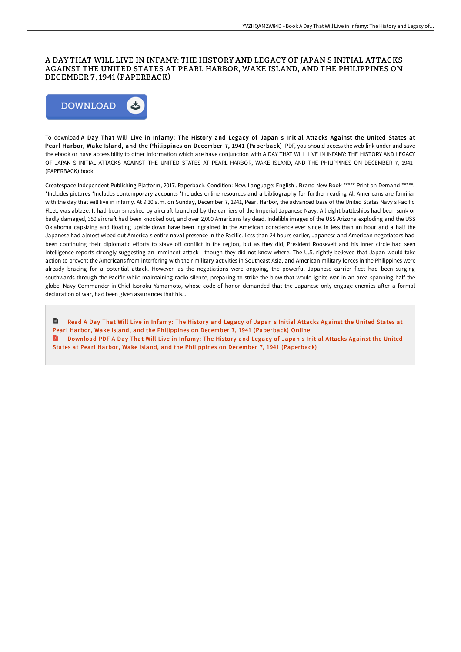#### A DAY THAT WILL LIVE IN INFAMY: THE HISTORY AND LEGACY OF JAPAN S INITIAL ATTACKS AGAINST THE UNITED STATES AT PEARL HARBOR, WAKE ISLAND, AND THE PHILIPPINES ON DECEMBER 7 , 1941 (PAPERBACK)



To download A Day That Will Live in Infamy: The History and Legacy of Japan s Initial Attacks Against the United States at Pearl Harbor, Wake Island, and the Philippines on December 7, 1941 (Paperback) PDF, you should access the web link under and save the ebook or have accessibility to other information which are have conjunction with A DAY THAT WILL LIVE IN INFAMY: THE HISTORY AND LEGACY OF JAPAN S INITIAL ATTACKS AGAINST THE UNITED STATES AT PEARL HARBOR, WAKE ISLAND, AND THE PHILIPPINES ON DECEMBER 7, 1941 (PAPERBACK) book.

Createspace Independent Publishing Platform, 2017. Paperback. Condition: New. Language: English . Brand New Book \*\*\*\*\* Print on Demand \*\*\*\*\*. \*Includes pictures \*Includes contemporary accounts \*Includes online resources and a bibliography for further reading All Americans are familiar with the day that will live in infamy. At 9:30 a.m. on Sunday, December 7, 1941, Pearl Harbor, the advanced base of the United States Navy s Pacific Fleet, was ablaze. It had been smashed by aircraft launched by the carriers of the Imperial Japanese Navy. All eight battleships had been sunk or badly damaged, 350 aircraft had been knocked out, and over 2,000 Americans lay dead. Indelible images of the USS Arizona exploding and the USS Oklahoma capsizing and floating upside down have been ingrained in the American conscience ever since. In less than an hour and a half the Japanese had almost wiped out America s entire naval presence in the Pacific. Less than 24 hours earlier, Japanese and American negotiators had been continuing their diplomatic efforts to stave off conflict in the region, but as they did, President Roosevelt and his inner circle had seen intelligence reports strongly suggesting an imminent attack - though they did not know where. The U.S. rightly believed that Japan would take action to prevent the Americans from interfering with their military activities in Southeast Asia, and American military forces in the Philippines were already bracing for a potential attack. However, as the negotiations were ongoing, the powerful Japanese carrier fleet had been surging southwards through the Pacific while maintaining radio silence, preparing to strike the blow that would ignite war in an area spanning half the globe. Navy Commander-in-Chief Isoroku Yamamoto, whose code of honor demanded that the Japanese only engage enemies after a formal declaration of war, had been given assurances that his...

B Read A Day That Will Live in Infamy: The History and Legacy of Japan s Initial Attacks Against the United States at Pearl Harbor, Wake Island, and the Philippines on December 7, 1941 [\(Paperback\)](http://techno-pub.tech/a-day-that-will-live-in-infamy-the-history-and-l.html) Online Download PDF A Day That Will Live in Infamy: The History and Legacy of Japan s Initial Attacks Against the United States at Pearl Harbor, Wake Island, and the Philippines on December 7, 1941 [\(Paperback\)](http://techno-pub.tech/a-day-that-will-live-in-infamy-the-history-and-l.html)